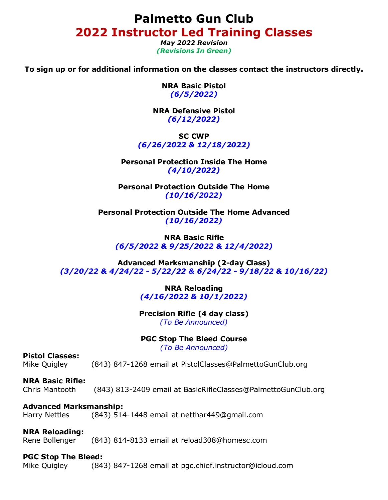**Palmetto Gun Club 2022 Instructor Led Training Classes**

> *May 2022 Revision (Revisions In Green)*

**To sign up or for additional information on the classes contact the instructors directly.**

**NRA Basic Pistol** *(6/5/2022)*

**NRA Defensive Pistol** *(6/12/2022)*

**SC CWP** *(6/26/2022 & 12/18/2022)*

**Personal Protection Inside The Home** *(4/10/2022)*

**Personal Protection Outside The Home** *(10/16/2022)*

**Personal Protection Outside The Home Advanced** *(10/16/2022)*

**NRA Basic Rifle** *(6/5/2022 & 9/25/2022 & 12/4/2022)*

**Advanced Marksmanship (2-day Class)** *(3/20/22 & 4/24/22 - 5/22/22 & 6/24/22 - 9/18/22 & 10/16/22)*

> **NRA Reloading** *(4/16/2022 & 10/1/2022)*

**Precision Rifle (4 day class)** *(To Be Announced)*

### **PGC Stop The Bleed Course**

*(To Be Announced)*

### **Pistol Classes:**

Mike Quigley (843) 847-1268 email at PistolClasses@PalmettoGunClub.org

### **NRA Basic Rifle:**

Chris Mantooth (843) 813-2409 email at BasicRifleClasses@PalmettoGunClub.org

#### **Advanced Marksmanship:**

Harry Nettles (843) 514-1448 email at netthar449@gmail.com

### **NRA Reloading:**

Rene Bollenger (843) 814-8133 email at reload308@homesc.com

#### **PGC Stop The Bleed:**

Mike Quigley (843) 847-1268 email at pgc.chief.instructor@icloud.com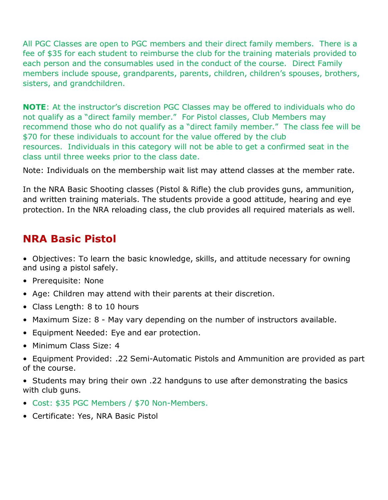All PGC Classes are open to PGC members and their direct family members. There is a fee of \$35 for each student to reimburse the club for the training materials provided to each person and the consumables used in the conduct of the course. Direct Family members include spouse, grandparents, parents, children, children's spouses, brothers, sisters, and grandchildren.

**NOTE**: At the instructor's discretion PGC Classes may be offered to individuals who do not qualify as a "direct family member." For Pistol classes, Club Members may recommend those who do not qualify as a "direct family member." The class fee will be \$70 for these individuals to account for the value offered by the club resources. Individuals in this category will not be able to get a confirmed seat in the class until three weeks prior to the class date.

Note: Individuals on the membership wait list may attend classes at the member rate.

In the NRA Basic Shooting classes (Pistol & Rifle) the club provides guns, ammunition, and written training materials. The students provide a good attitude, hearing and eye protection. In the NRA reloading class, the club provides all required materials as well.

## **NRA Basic Pistol**

• Objectives: To learn the basic knowledge, skills, and attitude necessary for owning and using a pistol safely.

- Prerequisite: None
- Age: Children may attend with their parents at their discretion.
- Class Length: 8 to 10 hours
- Maximum Size: 8 May vary depending on the number of instructors available.
- Equipment Needed: Eye and ear protection.
- Minimum Class Size: 4
- Equipment Provided: .22 Semi-Automatic Pistols and Ammunition are provided as part of the course.
- Students may bring their own .22 handguns to use after demonstrating the basics with club guns.
- Cost: \$35 PGC Members / \$70 Non-Members.
- Certificate: Yes, NRA Basic Pistol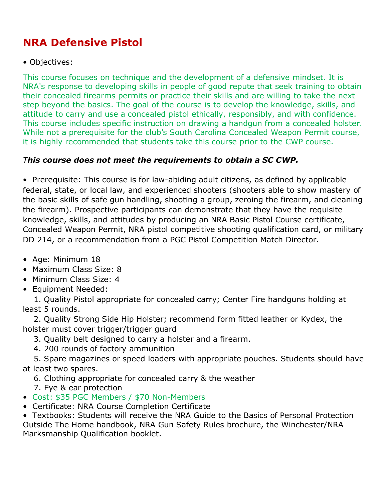# **NRA Defensive Pistol**

### • Objectives:

This course focuses on technique and the development of a defensive mindset. It is NRA's response to developing skills in people of good repute that seek training to obtain their concealed firearms permits or practice their skills and are willing to take the next step beyond the basics. The goal of the course is to develop the knowledge, skills, and attitude to carry and use a concealed pistol ethically, responsibly, and with confidence. This course includes specific instruction on drawing a handgun from a concealed holster. While not a prerequisite for the club's South Carolina Concealed Weapon Permit course, it is highly recommended that students take this course prior to the CWP course.

## *This course does not meet the requirements to obtain a SC CWP.*

• Prerequisite: This course is for law-abiding adult citizens, as defined by applicable federal, state, or local law, and experienced shooters (shooters able to show mastery of the basic skills of safe gun handling, shooting a group, zeroing the firearm, and cleaning the firearm). Prospective participants can demonstrate that they have the requisite knowledge, skills, and attitudes by producing an NRA Basic Pistol Course certificate, Concealed Weapon Permit, NRA pistol competitive shooting qualification card, or military DD 214, or a recommendation from a PGC Pistol Competition Match Director.

- Age: Minimum 18
- Maximum Class Size: 8
- Minimum Class Size: 4
- Equipment Needed:

 1. Quality Pistol appropriate for concealed carry; Center Fire handguns holding at least 5 rounds.

 2. Quality Strong Side Hip Holster; recommend form fitted leather or Kydex, the holster must cover trigger/trigger guard

- 3. Quality belt designed to carry a holster and a firearm.
- 4. 200 rounds of factory ammunition

 5. Spare magazines or speed loaders with appropriate pouches. Students should have at least two spares.

- 6. Clothing appropriate for concealed carry & the weather
- 7. Eye & ear protection
- Cost: \$35 PGC Members / \$70 Non-Members
- Certificate: NRA Course Completion Certificate

• Textbooks: Students will receive the NRA Guide to the Basics of Personal Protection Outside The Home handbook, NRA Gun Safety Rules brochure, the Winchester/NRA Marksmanship Qualification booklet.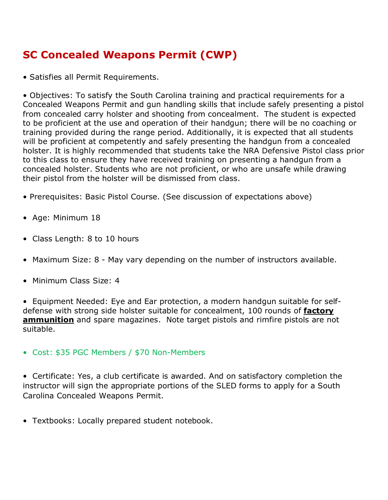# **SC Concealed Weapons Permit (CWP)**

• Satisfies all Permit Requirements.

• Objectives: To satisfy the South Carolina training and practical requirements for a Concealed Weapons Permit and gun handling skills that include safely presenting a pistol from concealed carry holster and shooting from concealment. The student is expected to be proficient at the use and operation of their handgun; there will be no coaching or training provided during the range period. Additionally, it is expected that all students will be proficient at competently and safely presenting the handgun from a concealed holster. It is highly recommended that students take the NRA Defensive Pistol class prior to this class to ensure they have received training on presenting a handgun from a concealed holster. Students who are not proficient, or who are unsafe while drawing their pistol from the holster will be dismissed from class.

- Prerequisites: Basic Pistol Course. (See discussion of expectations above)
- Age: Minimum 18
- Class Length: 8 to 10 hours
- Maximum Size: 8 May vary depending on the number of instructors available.
- Minimum Class Size: 4

• Equipment Needed: Eye and Ear protection, a modern handgun suitable for selfdefense with strong side holster suitable for concealment, 100 rounds of **factory ammunition** and spare magazines. Note target pistols and rimfire pistols are not suitable.

• Cost: \$35 PGC Members / \$70 Non-Members

• Certificate: Yes, a club certificate is awarded. And on satisfactory completion the instructor will sign the appropriate portions of the SLED forms to apply for a South Carolina Concealed Weapons Permit.

• Textbooks: Locally prepared student notebook.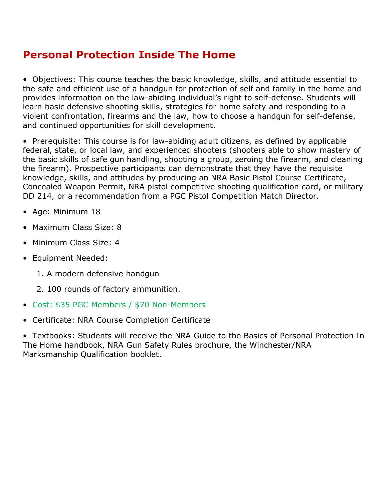## **Personal Protection Inside The Home**

• Objectives: This course teaches the basic knowledge, skills, and attitude essential to the safe and efficient use of a handgun for protection of self and family in the home and provides information on the law-abiding individual's right to self-defense. Students will learn basic defensive shooting skills, strategies for home safety and responding to a violent confrontation, firearms and the law, how to choose a handgun for self-defense, and continued opportunities for skill development.

• Prerequisite: This course is for law-abiding adult citizens, as defined by applicable federal, state, or local law, and experienced shooters (shooters able to show mastery of the basic skills of safe gun handling, shooting a group, zeroing the firearm, and cleaning the firearm). Prospective participants can demonstrate that they have the requisite knowledge, skills, and attitudes by producing an NRA Basic Pistol Course Certificate, Concealed Weapon Permit, NRA pistol competitive shooting qualification card, or military DD 214, or a recommendation from a PGC Pistol Competition Match Director.

- Age: Minimum 18
- Maximum Class Size: 8
- Minimum Class Size: 4
- Equipment Needed:
	- 1. A modern defensive handgun
	- 2. 100 rounds of factory ammunition.
- Cost: \$35 PGC Members / \$70 Non-Members
- Certificate: NRA Course Completion Certificate

• Textbooks: Students will receive the NRA Guide to the Basics of Personal Protection In The Home handbook, NRA Gun Safety Rules brochure, the Winchester/NRA Marksmanship Qualification booklet.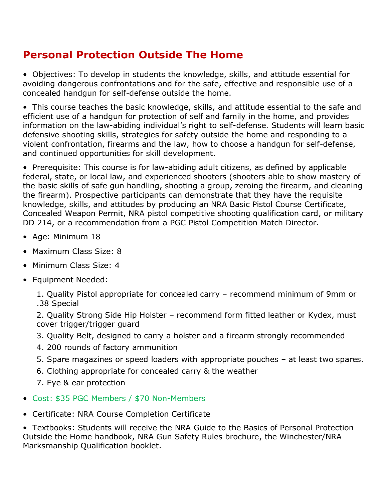# **Personal Protection Outside The Home**

• Objectives: To develop in students the knowledge, skills, and attitude essential for avoiding dangerous confrontations and for the safe, effective and responsible use of a concealed handgun for self-defense outside the home.

• This course teaches the basic knowledge, skills, and attitude essential to the safe and efficient use of a handgun for protection of self and family in the home, and provides information on the law-abiding individual's right to self-defense. Students will learn basic defensive shooting skills, strategies for safety outside the home and responding to a violent confrontation, firearms and the law, how to choose a handgun for self-defense, and continued opportunities for skill development.

• Prerequisite: This course is for law-abiding adult citizens, as defined by applicable federal, state, or local law, and experienced shooters (shooters able to show mastery of the basic skills of safe gun handling, shooting a group, zeroing the firearm, and cleaning the firearm). Prospective participants can demonstrate that they have the requisite knowledge, skills, and attitudes by producing an NRA Basic Pistol Course Certificate, Concealed Weapon Permit, NRA pistol competitive shooting qualification card, or military DD 214, or a recommendation from a PGC Pistol Competition Match Director.

- Age: Minimum 18
- Maximum Class Size: 8
- Minimum Class Size: 4
- Equipment Needed:

1. Quality Pistol appropriate for concealed carry – recommend minimum of 9mm or .38 Special

2. Quality Strong Side Hip Holster – recommend form fitted leather or Kydex, must cover trigger/trigger guard

- 3. Quality Belt, designed to carry a holster and a firearm strongly recommended
- 4. 200 rounds of factory ammunition
- 5. Spare magazines or speed loaders with appropriate pouches at least two spares.
- 6. Clothing appropriate for concealed carry & the weather

7. Eye & ear protection

- Cost: \$35 PGC Members / \$70 Non-Members
- Certificate: NRA Course Completion Certificate

• Textbooks: Students will receive the NRA Guide to the Basics of Personal Protection Outside the Home handbook, NRA Gun Safety Rules brochure, the Winchester/NRA Marksmanship Qualification booklet.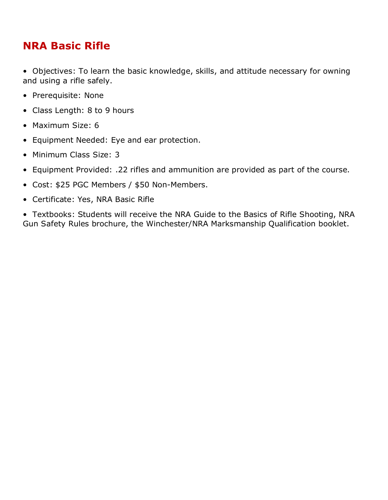## **NRA Basic Rifle**

• Objectives: To learn the basic knowledge, skills, and attitude necessary for owning and using a rifle safely.

- Prerequisite: None
- Class Length: 8 to 9 hours
- Maximum Size: 6
- Equipment Needed: Eye and ear protection.
- Minimum Class Size: 3
- Equipment Provided: .22 rifles and ammunition are provided as part of the course.
- Cost: \$25 PGC Members / \$50 Non-Members.
- Certificate: Yes, NRA Basic Rifle

• Textbooks: Students will receive the NRA Guide to the Basics of Rifle Shooting, NRA Gun Safety Rules brochure, the Winchester/NRA Marksmanship Qualification booklet.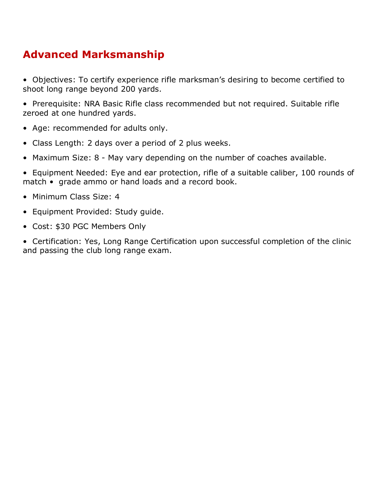# **Advanced Marksmanship**

- Objectives: To certify experience rifle marksman's desiring to become certified to shoot long range beyond 200 yards.
- Prerequisite: NRA Basic Rifle class recommended but not required. Suitable rifle zeroed at one hundred yards.
- Age: recommended for adults only.
- Class Length: 2 days over a period of 2 plus weeks.
- Maximum Size: 8 May vary depending on the number of coaches available.
- Equipment Needed: Eye and ear protection, rifle of a suitable caliber, 100 rounds of match • grade ammo or hand loads and a record book.
- Minimum Class Size: 4
- Equipment Provided: Study guide.
- Cost: \$30 PGC Members Only
- Certification: Yes, Long Range Certification upon successful completion of the clinic and passing the club long range exam.